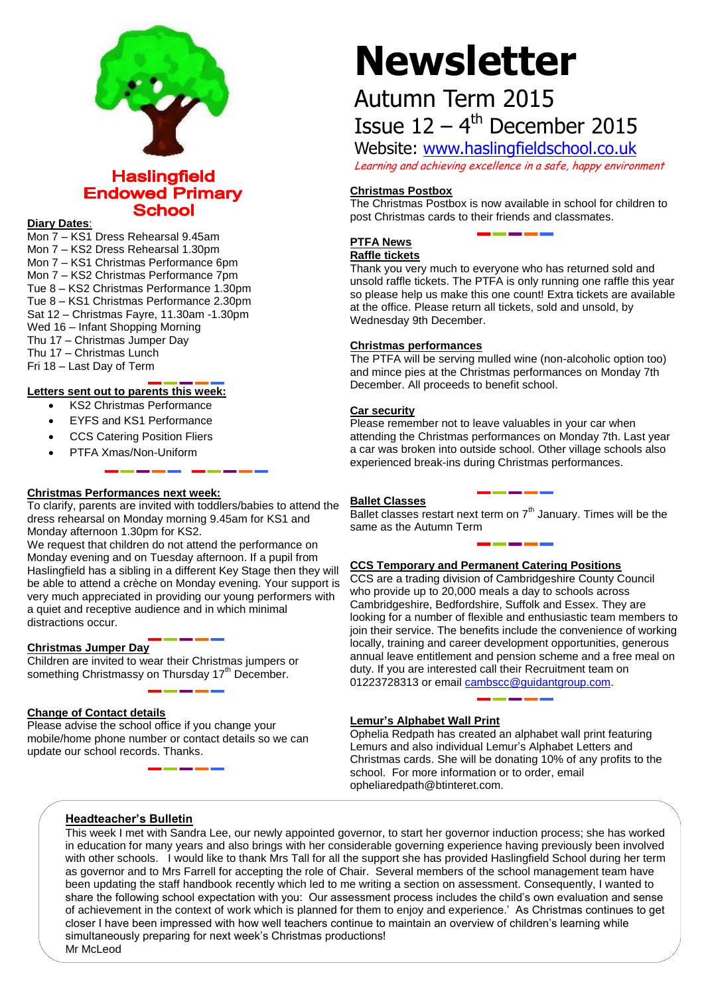

### **Haslingfield Endowed Primary School**

#### **Diary Dates**:

Mon 7 – KS1 Dress Rehearsal 9.45am Mon 7 – KS2 Dress Rehearsal 1.30pm Mon 7 – KS1 Christmas Performance 6pm Mon 7 – KS2 Christmas Performance 7pm Tue 8 – KS2 Christmas Performance 1.30pm Tue 8 – KS1 Christmas Performance 2.30pm Sat 12 – Christmas Fayre, 11.30am -1.30pm Wed 16 – Infant Shopping Morning Thu 17 – Christmas Jumper Day Thu 17 – Christmas Lunch Fri 18 – Last Day of Term

#### **Letters sent out to parents this week:**

- KS2 Christmas Performance
- EYFS and KS1 Performance
- CCS Catering Position Fliers
- PTFA Xmas/Non-Uniform

#### **Christmas Performances next week:**

To clarify, parents are invited with toddlers/babies to attend the dress rehearsal on Monday morning 9.45am for KS1 and Monday afternoon 1.30pm for KS2.

We request that children do not attend the performance on Monday evening and on Tuesday afternoon. If a pupil from Haslingfield has a sibling in a different Key Stage then they will be able to attend a crèche on Monday evening. Your support is very much appreciated in providing our young performers with a quiet and receptive audience and in which minimal distractions occur.

#### **Christmas Jumper Day**

Children are invited to wear their Christmas jumpers or something Christmassy on Thursday 17<sup>th</sup> December.

#### **Change of Contact details**

Please advise the school office if you change your mobile/home phone number or contact details so we can update our school records. Thanks.

# **Newsletter**

# Autumn Term 2015 Issue  $12 - 4$ <sup>th</sup> December 2015

Website: [www.haslingfieldschool.co.uk](http://www.haslingfieldschool.co.uk/) Learning and achieving excellence in a safe, happy environment

#### **Christmas Postbox**

The Christmas Postbox is now available in school for children to post Christmas cards to their friends and classmates.

# **PTFA News**

**Raffle tickets**

Thank you very much to everyone who has returned sold and unsold raffle tickets. The PTFA is only running one raffle this year so please help us make this one count! Extra tickets are available at the office. Please return all tickets, sold and unsold, by Wednesday 9th December.

#### **Christmas performances**

The PTFA will be serving mulled wine (non-alcoholic option too) and mince pies at the Christmas performances on Monday 7th December. All proceeds to benefit school.

#### **Car security**

Please remember not to leave valuables in your car when attending the Christmas performances on Monday 7th. Last year a car was broken into outside school. Other village schools also experienced break-ins during Christmas performances.

#### **Ballet Classes**

 $\overline{B}$ allet classes restart next term on  $7<sup>th</sup>$  January. Times will be the same as the Autumn Term

#### **CCS Temporary and Permanent Catering Positions**

CCS are a trading division of Cambridgeshire County Council who provide up to 20,000 meals a day to schools across Cambridgeshire, Bedfordshire, Suffolk and Essex. They are looking for a number of flexible and enthusiastic team members to join their service. The benefits include the convenience of working locally, training and career development opportunities, generous annual leave entitlement and pension scheme and a free meal on duty. If you are interested call their Recruitment team on 01223728313 or email [cambscc@guidantgroup.com.](mailto:cambscc@guidantgroup.com)

## **Lemur's Alphabet Wall Print**

Ophelia Redpath has created an alphabet wall print featuring Lemurs and also individual Lemur's Alphabet Letters and Christmas cards. She will be donating 10% of any profits to the school. For more information or to order, email opheliaredpath@btinteret.com.

#### **Headteacher's Bulletin**

This week I met with Sandra Lee, our newly appointed governor, to start her governor induction process; she has worked in education for many years and also brings with her considerable governing experience having previously been involved with other schools. I would like to thank Mrs Tall for all the support she has provided Haslingfield School during her term as governor and to Mrs Farrell for accepting the role of Chair. Several members of the school management team have been updating the staff handbook recently which led to me writing a section on assessment. Consequently, I wanted to share the following school expectation with you: Our assessment process includes the child's own evaluation and sense of achievement in the context of work which is planned for them to enjoy and experience.' As Christmas continues to get closer I have been impressed with how well teachers continue to maintain an overview of children's learning while simultaneously preparing for next week's Christmas productions! Mr McLeod